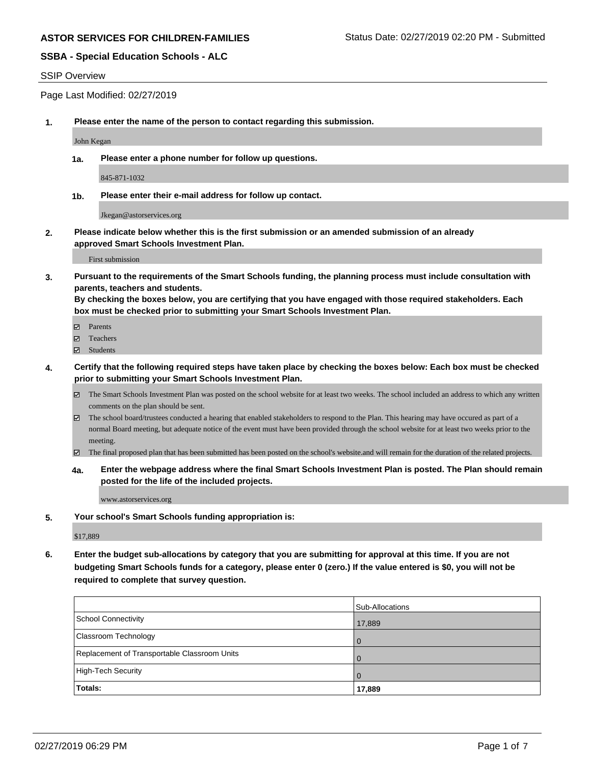## **SSBA - Special Education Schools - ALC**

#### SSIP Overview

Page Last Modified: 02/27/2019

**1. Please enter the name of the person to contact regarding this submission.**

John Kegan

**1a. Please enter a phone number for follow up questions.**

845-871-1032

**1b. Please enter their e-mail address for follow up contact.**

Jkegan@astorservices.org

**2. Please indicate below whether this is the first submission or an amended submission of an already approved Smart Schools Investment Plan.**

First submission

**3. Pursuant to the requirements of the Smart Schools funding, the planning process must include consultation with parents, teachers and students.**

**By checking the boxes below, you are certifying that you have engaged with those required stakeholders. Each box must be checked prior to submitting your Smart Schools Investment Plan.**

- $\blacksquare$  Parents
- Teachers
- Students
- **4. Certify that the following required steps have taken place by checking the boxes below: Each box must be checked prior to submitting your Smart Schools Investment Plan.**
	- $\boxtimes$  The Smart Schools Investment Plan was posted on the school website for at least two weeks. The school included an address to which any written comments on the plan should be sent.
	- $\boxtimes$  The school board/trustees conducted a hearing that enabled stakeholders to respond to the Plan. This hearing may have occured as part of a normal Board meeting, but adequate notice of the event must have been provided through the school website for at least two weeks prior to the meeting.
	- The final proposed plan that has been submitted has been posted on the school's website.and will remain for the duration of the related projects.
	- **4a. Enter the webpage address where the final Smart Schools Investment Plan is posted. The Plan should remain posted for the life of the included projects.**

www.astorservices.org

**5. Your school's Smart Schools funding appropriation is:**

\$17,889

**6. Enter the budget sub-allocations by category that you are submitting for approval at this time. If you are not budgeting Smart Schools funds for a category, please enter 0 (zero.) If the value entered is \$0, you will not be required to complete that survey question.**

|                                              | Sub-Allocations |
|----------------------------------------------|-----------------|
| School Connectivity                          | 17,889          |
| <b>Classroom Technology</b>                  | l O             |
| Replacement of Transportable Classroom Units |                 |
| High-Tech Security                           | $\overline{0}$  |
| <b>Totals:</b>                               | 17,889          |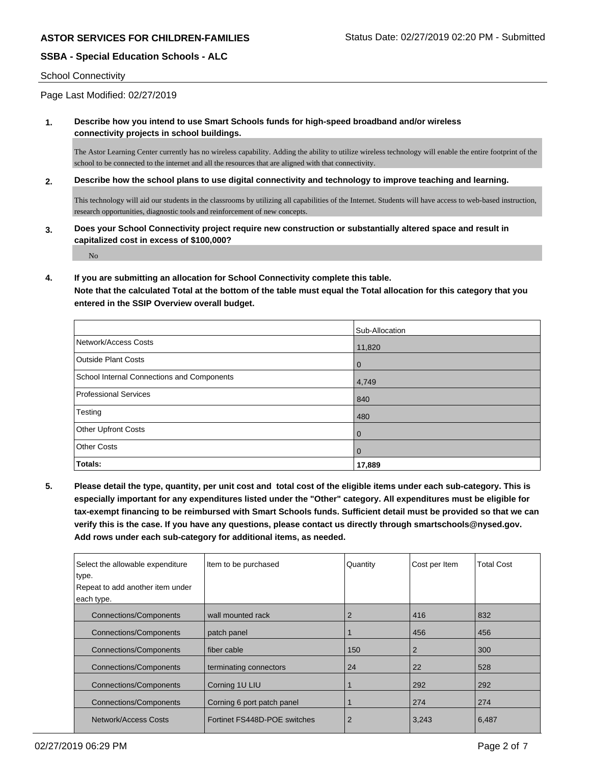## **SSBA - Special Education Schools - ALC**

#### School Connectivity

Page Last Modified: 02/27/2019

### **1. Describe how you intend to use Smart Schools funds for high-speed broadband and/or wireless connectivity projects in school buildings.**

The Astor Learning Center currently has no wireless capability. Adding the ability to utilize wireless technology will enable the entire footprint of the school to be connected to the internet and all the resources that are aligned with that connectivity.

#### **2. Describe how the school plans to use digital connectivity and technology to improve teaching and learning.**

This technology will aid our students in the classrooms by utilizing all capabilities of the Internet. Students will have access to web-based instruction, research opportunities, diagnostic tools and reinforcement of new concepts.

**3. Does your School Connectivity project require new construction or substantially altered space and result in capitalized cost in excess of \$100,000?**

No

#### **4. If you are submitting an allocation for School Connectivity complete this table.**

**Note that the calculated Total at the bottom of the table must equal the Total allocation for this category that you entered in the SSIP Overview overall budget.** 

|                                            | Sub-Allocation |
|--------------------------------------------|----------------|
| Network/Access Costs                       | 11,820         |
| <b>Outside Plant Costs</b>                 | $\mathbf 0$    |
| School Internal Connections and Components | 4,749          |
| <b>Professional Services</b>               | 840            |
| Testing                                    | 480            |
| <b>Other Upfront Costs</b>                 | $\overline{0}$ |
| <b>Other Costs</b>                         | $\overline{0}$ |
| Totals:                                    | 17,889         |

**5. Please detail the type, quantity, per unit cost and total cost of the eligible items under each sub-category. This is especially important for any expenditures listed under the "Other" category. All expenditures must be eligible for tax-exempt financing to be reimbursed with Smart Schools funds. Sufficient detail must be provided so that we can verify this is the case. If you have any questions, please contact us directly through smartschools@nysed.gov. Add rows under each sub-category for additional items, as needed.**

| Select the allowable expenditure<br>type.<br>Repeat to add another item under<br>each type. | Item to be purchased         | Quantity       | Cost per Item  | <b>Total Cost</b> |
|---------------------------------------------------------------------------------------------|------------------------------|----------------|----------------|-------------------|
| <b>Connections/Components</b>                                                               | wall mounted rack            | 2              | 416            | 832               |
| <b>Connections/Components</b>                                                               | patch panel                  |                | 456            | 456               |
| <b>Connections/Components</b>                                                               | fiber cable                  | 150            | $\overline{2}$ | 300               |
| <b>Connections/Components</b>                                                               | terminating connectors       | 24             | 22             | 528               |
| <b>Connections/Components</b>                                                               | Corning 1U LIU               |                | 292            | 292               |
| <b>Connections/Components</b>                                                               | Corning 6 port patch panel   |                | 274            | 274               |
| Network/Access Costs                                                                        | Fortinet FS448D-POE switches | $\overline{2}$ | 3,243          | 6,487             |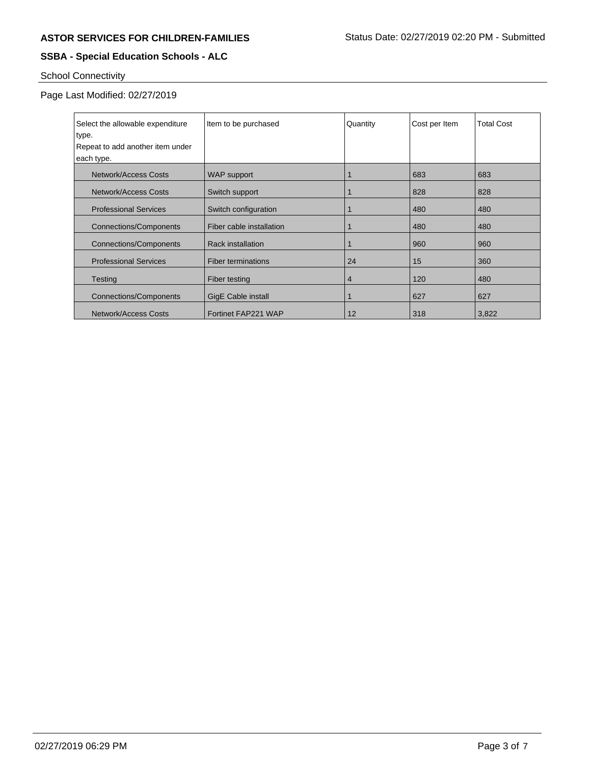# **SSBA - Special Education Schools - ALC**

# School Connectivity

# Page Last Modified: 02/27/2019

| Select the allowable expenditure<br>type. | Item to be purchased      | Quantity | Cost per Item | <b>Total Cost</b> |
|-------------------------------------------|---------------------------|----------|---------------|-------------------|
| Repeat to add another item under          |                           |          |               |                   |
| each type.                                |                           |          |               |                   |
|                                           |                           |          |               |                   |
| Network/Access Costs                      | <b>WAP</b> support        |          | 683           | 683               |
| Network/Access Costs                      | Switch support            |          | 828           | 828               |
| <b>Professional Services</b>              | Switch configuration      |          | 480           | 480               |
| <b>Connections/Components</b>             | Fiber cable installation  |          | 480           | 480               |
| <b>Connections/Components</b>             | <b>Rack installation</b>  |          | 960           | 960               |
| <b>Professional Services</b>              | <b>Fiber terminations</b> | 24       | 15            | 360               |
| Testing                                   | Fiber testing             | 4        | 120           | 480               |
| <b>Connections/Components</b>             | <b>GigE Cable install</b> |          | 627           | 627               |
| Network/Access Costs                      | Fortinet FAP221 WAP       | 12       | 318           | 3,822             |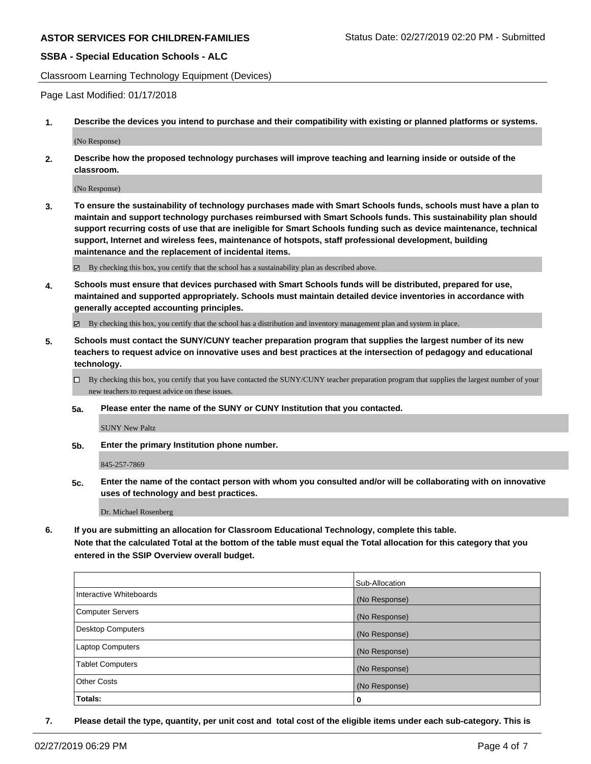## **SSBA - Special Education Schools - ALC**

Classroom Learning Technology Equipment (Devices)

Page Last Modified: 01/17/2018

**1. Describe the devices you intend to purchase and their compatibility with existing or planned platforms or systems.**

(No Response)

**2. Describe how the proposed technology purchases will improve teaching and learning inside or outside of the classroom.**

(No Response)

**3. To ensure the sustainability of technology purchases made with Smart Schools funds, schools must have a plan to maintain and support technology purchases reimbursed with Smart Schools funds. This sustainability plan should support recurring costs of use that are ineligible for Smart Schools funding such as device maintenance, technical support, Internet and wireless fees, maintenance of hotspots, staff professional development, building maintenance and the replacement of incidental items.**

 $\boxtimes$  By checking this box, you certify that the school has a sustainability plan as described above.

**4. Schools must ensure that devices purchased with Smart Schools funds will be distributed, prepared for use, maintained and supported appropriately. Schools must maintain detailed device inventories in accordance with generally accepted accounting principles.**

By checking this box, you certify that the school has a distribution and inventory management plan and system in place.

- **5. Schools must contact the SUNY/CUNY teacher preparation program that supplies the largest number of its new teachers to request advice on innovative uses and best practices at the intersection of pedagogy and educational technology.**
	- $\Box$  By checking this box, you certify that you have contacted the SUNY/CUNY teacher preparation program that supplies the largest number of your new teachers to request advice on these issues.
	- **5a. Please enter the name of the SUNY or CUNY Institution that you contacted.**

SUNY New Paltz

**5b. Enter the primary Institution phone number.**

845-257-7869

**5c. Enter the name of the contact person with whom you consulted and/or will be collaborating with on innovative uses of technology and best practices.**

Dr. Michael Rosenberg

**6. If you are submitting an allocation for Classroom Educational Technology, complete this table.**

**Note that the calculated Total at the bottom of the table must equal the Total allocation for this category that you entered in the SSIP Overview overall budget.**

|                         | Sub-Allocation |
|-------------------------|----------------|
| Interactive Whiteboards | (No Response)  |
| Computer Servers        | (No Response)  |
| Desktop Computers       | (No Response)  |
| Laptop Computers        | (No Response)  |
| <b>Tablet Computers</b> | (No Response)  |
| <b>Other Costs</b>      | (No Response)  |
| Totals:                 | 0              |

**7. Please detail the type, quantity, per unit cost and total cost of the eligible items under each sub-category. This is**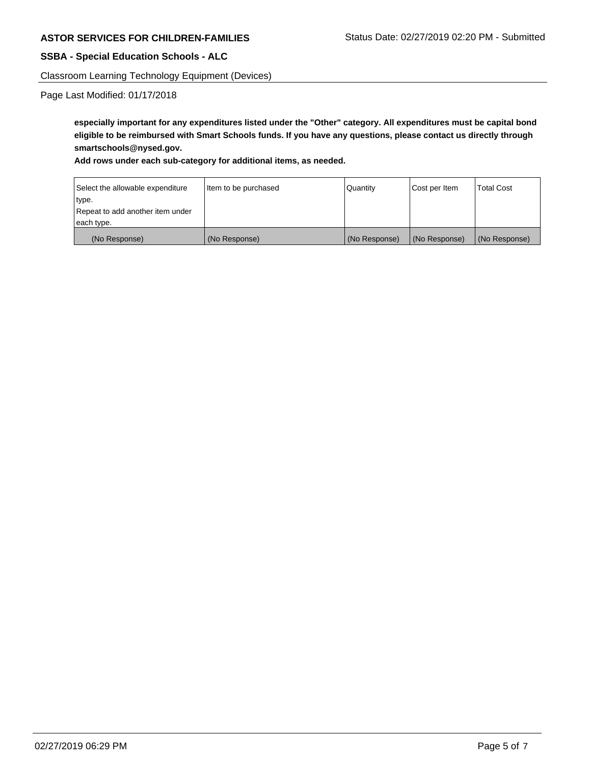## **SSBA - Special Education Schools - ALC**

Classroom Learning Technology Equipment (Devices)

Page Last Modified: 01/17/2018

**especially important for any expenditures listed under the "Other" category. All expenditures must be capital bond eligible to be reimbursed with Smart Schools funds. If you have any questions, please contact us directly through smartschools@nysed.gov.**

### **Add rows under each sub-category for additional items, as needed.**

| Select the allowable expenditure | Item to be purchased | Quantity      | Cost per Item | <b>Total Cost</b> |
|----------------------------------|----------------------|---------------|---------------|-------------------|
| type.                            |                      |               |               |                   |
| Repeat to add another item under |                      |               |               |                   |
| each type.                       |                      |               |               |                   |
| (No Response)                    | (No Response)        | (No Response) | (No Response) | (No Response)     |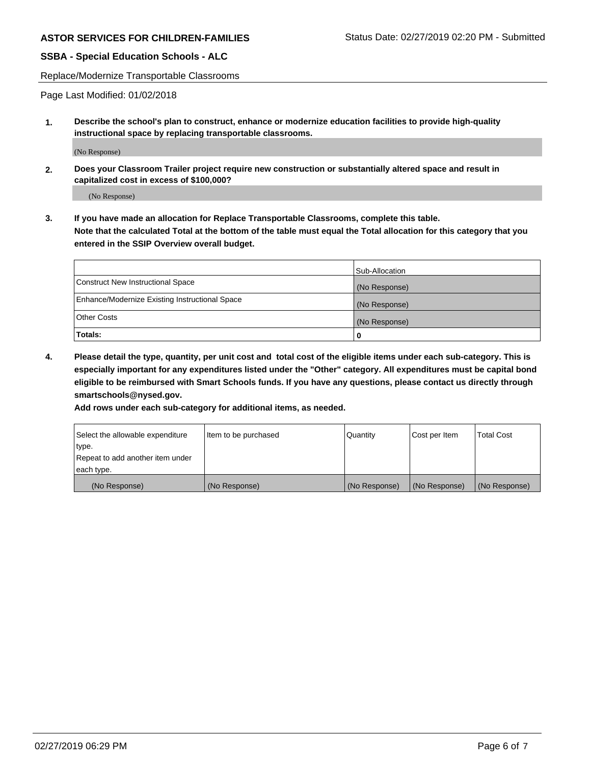## **SSBA - Special Education Schools - ALC**

Replace/Modernize Transportable Classrooms

Page Last Modified: 01/02/2018

**1. Describe the school's plan to construct, enhance or modernize education facilities to provide high-quality instructional space by replacing transportable classrooms.**

(No Response)

**2. Does your Classroom Trailer project require new construction or substantially altered space and result in capitalized cost in excess of \$100,000?**

(No Response)

**3. If you have made an allocation for Replace Transportable Classrooms, complete this table. Note that the calculated Total at the bottom of the table must equal the Total allocation for this category that you entered in the SSIP Overview overall budget.**

|                                                | Sub-Allocation |
|------------------------------------------------|----------------|
| Construct New Instructional Space              | (No Response)  |
| Enhance/Modernize Existing Instructional Space | (No Response)  |
| Other Costs                                    | (No Response)  |
| Totals:                                        | 0              |

**4. Please detail the type, quantity, per unit cost and total cost of the eligible items under each sub-category. This is especially important for any expenditures listed under the "Other" category. All expenditures must be capital bond eligible to be reimbursed with Smart Schools funds. If you have any questions, please contact us directly through smartschools@nysed.gov.**

**Add rows under each sub-category for additional items, as needed.**

| Select the allowable expenditure | Item to be purchased | Quantity      | Cost per Item | <b>Total Cost</b> |
|----------------------------------|----------------------|---------------|---------------|-------------------|
| type.                            |                      |               |               |                   |
| Repeat to add another item under |                      |               |               |                   |
| each type.                       |                      |               |               |                   |
| (No Response)                    | (No Response)        | (No Response) | (No Response) | (No Response)     |